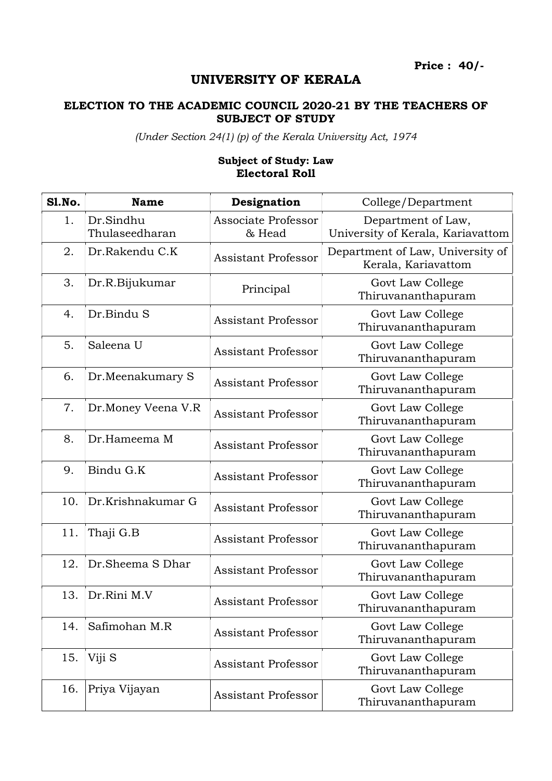Price : 40/-

## UNIVERSITY OF KERALA

## ELECTION TO THE ACADEMIC COUNCIL 2020-21 BY THE TEACHERS OF SUBJECT OF STUDY

(Under Section 24(1) (p) of the Kerala University Act, 1974

## Subject of Study: Law Electoral Roll

| <b>S1.No.</b> | <b>Name</b>                 | Designation                   | College/Department                                      |
|---------------|-----------------------------|-------------------------------|---------------------------------------------------------|
| 1.            | Dr.Sindhu<br>Thulaseedharan | Associate Professor<br>& Head | Department of Law,<br>University of Kerala, Kariavattom |
| 2.            | Dr.Rakendu C.K              | <b>Assistant Professor</b>    | Department of Law, University of<br>Kerala, Kariavattom |
| 3.            | Dr.R.Bijukumar              | Principal                     | Govt Law College<br>Thiruvananthapuram                  |
| 4.            | Dr.Bindu S                  | Assistant Professor           | Govt Law College<br>Thiruvananthapuram                  |
| 5.            | Saleena U                   | <b>Assistant Professor</b>    | Govt Law College<br>Thiruvananthapuram                  |
| 6.            | Dr.Meenakumary S            | <b>Assistant Professor</b>    | Govt Law College<br>Thiruvananthapuram                  |
| 7.            | Dr.Money Veena V.R          | <b>Assistant Professor</b>    | Govt Law College<br>Thiruvananthapuram                  |
| 8.            | Dr.Hameema M                | <b>Assistant Professor</b>    | Govt Law College<br>Thiruvananthapuram                  |
| 9.            | Bindu G.K                   | <b>Assistant Professor</b>    | Govt Law College<br>Thiruvananthapuram                  |
| 10.           | Dr.Krishnakumar G           | <b>Assistant Professor</b>    | Govt Law College<br>Thiruvananthapuram                  |
| 11.           | Thaji G.B                   | <b>Assistant Professor</b>    | Govt Law College<br>Thiruvananthapuram                  |
| 12.           | Dr.Sheema S Dhar            | <b>Assistant Professor</b>    | Govt Law College<br>Thiruvananthapuram                  |
| 13.           | Dr.Rini M.V                 | <b>Assistant Professor</b>    | Govt Law College<br>Thiruvananthapuram                  |
| 14.           | Safimohan M.R               | <b>Assistant Professor</b>    | Govt Law College<br>Thiruvananthapuram                  |
| 15.           | Viji S                      | <b>Assistant Professor</b>    | Govt Law College<br>Thiruvananthapuram                  |
| 16.           | Priya Vijayan               | <b>Assistant Professor</b>    | Govt Law College<br>Thiruvananthapuram                  |